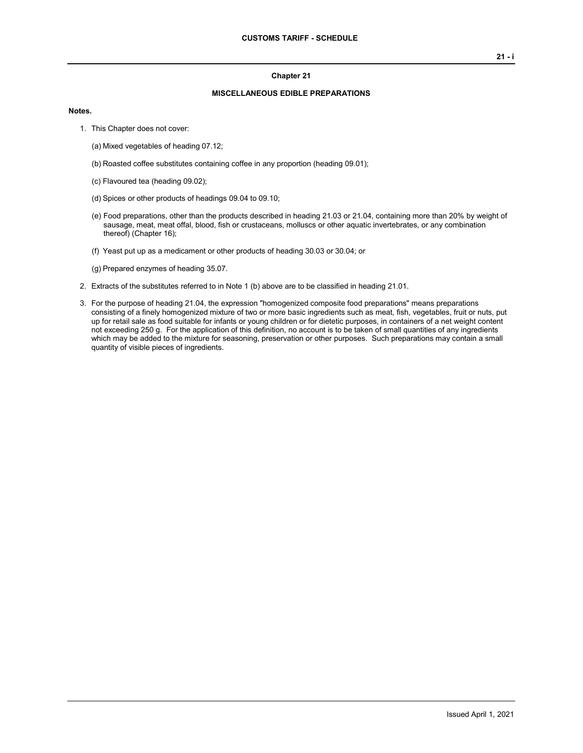#### **Chapter 21**

### **MISCELLANEOUS EDIBLE PREPARATIONS**

#### **Notes.**

- 1. This Chapter does not cover:
	- (a) Mixed vegetables of heading 07.12;
	- (b) Roasted coffee substitutes containing coffee in any proportion (heading 09.01);
	- (c) Flavoured tea (heading 09.02);
	- (d) Spices or other products of headings 09.04 to 09.10;
	- (e) Food preparations, other than the products described in heading 21.03 or 21.04, containing more than 20% by weight of sausage, meat, meat offal, blood, fish or crustaceans, molluscs or other aquatic invertebrates, or any combination thereof) (Chapter 16);
	- (f) Yeast put up as a medicament or other products of heading 30.03 or 30.04; or

(g) Prepared enzymes of heading 35.07.

- 2. Extracts of the substitutes referred to in Note 1 (b) above are to be classified in heading 21.01.
- 3. For the purpose of heading 21.04, the expression "homogenized composite food preparations" means preparations consisting of a finely homogenized mixture of two or more basic ingredients such as meat, fish, vegetables, fruit or nuts, put up for retail sale as food suitable for infants or young children or for dietetic purposes, in containers of a net weight content not exceeding 250 g. For the application of this definition, no account is to be taken of small quantities of any ingredients which may be added to the mixture for seasoning, preservation or other purposes. Such preparations may contain a small quantity of visible pieces of ingredients.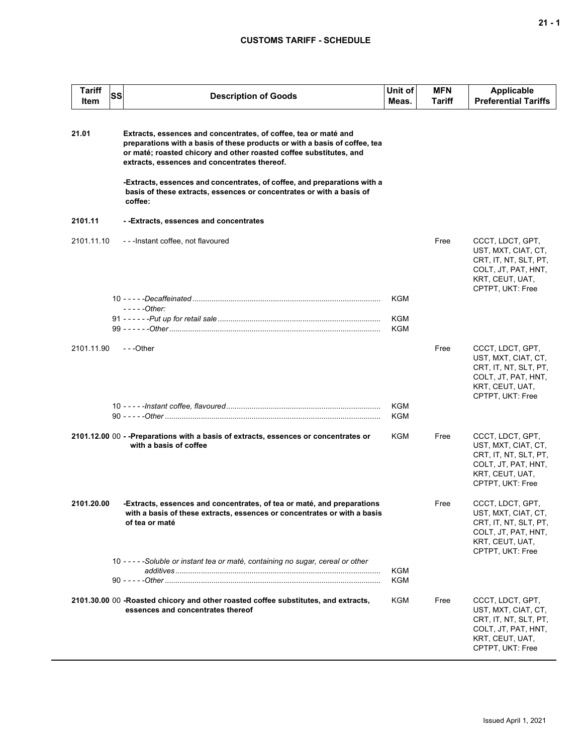## **CUSTOMS TARIFF - SCHEDULE**

| <b>Tariff</b><br>Item | <b>SS</b><br><b>Description of Goods</b>                                                                                                                                                                                                                                                                                                                                                                                           | Unit of<br>Meas.  | MFN<br>Tariff | <b>Applicable</b><br><b>Preferential Tariffs</b>                                                                               |
|-----------------------|------------------------------------------------------------------------------------------------------------------------------------------------------------------------------------------------------------------------------------------------------------------------------------------------------------------------------------------------------------------------------------------------------------------------------------|-------------------|---------------|--------------------------------------------------------------------------------------------------------------------------------|
| 21.01                 | Extracts, essences and concentrates, of coffee, tea or maté and<br>preparations with a basis of these products or with a basis of coffee, tea<br>or maté; roasted chicory and other roasted coffee substitutes, and<br>extracts, essences and concentrates thereof.<br>-Extracts, essences and concentrates, of coffee, and preparations with a<br>basis of these extracts, essences or concentrates or with a basis of<br>coffee: |                   |               |                                                                                                                                |
| 2101.11               | - -Extracts, essences and concentrates                                                                                                                                                                                                                                                                                                                                                                                             |                   |               |                                                                                                                                |
| 2101.11.10            | ---Instant coffee, not flavoured                                                                                                                                                                                                                                                                                                                                                                                                   |                   | Free          | CCCT, LDCT, GPT,<br>UST, MXT, CIAT, CT,<br>CRT, IT, NT, SLT, PT,<br>COLT, JT, PAT, HNT,<br>KRT, CEUT, UAT,<br>CPTPT, UKT: Free |
|                       | $---Other:$                                                                                                                                                                                                                                                                                                                                                                                                                        | KGM               |               |                                                                                                                                |
|                       |                                                                                                                                                                                                                                                                                                                                                                                                                                    | KGM<br><b>KGM</b> |               |                                                                                                                                |
| 2101.11.90            | $- -$ Other                                                                                                                                                                                                                                                                                                                                                                                                                        |                   | Free          | CCCT, LDCT, GPT,<br>UST, MXT, CIAT, CT,<br>CRT, IT, NT, SLT, PT,<br>COLT, JT, PAT, HNT,<br>KRT, CEUT, UAT,<br>CPTPT, UKT: Free |
|                       |                                                                                                                                                                                                                                                                                                                                                                                                                                    | KGM<br><b>KGM</b> |               |                                                                                                                                |
|                       | 2101.12.00 00 - -Preparations with a basis of extracts, essences or concentrates or<br>with a basis of coffee                                                                                                                                                                                                                                                                                                                      | KGM               | Free          | CCCT, LDCT, GPT,<br>UST, MXT, CIAT, CT,<br>CRT, IT, NT, SLT, PT,<br>COLT, JT, PAT, HNT,<br>KRT, CEUT, UAT,<br>CPTPT, UKT: Free |
| 2101.20.00            | -Extracts, essences and concentrates, of tea or maté, and preparations<br>with a basis of these extracts, essences or concentrates or with a basis<br>of tea or maté                                                                                                                                                                                                                                                               |                   | Free          | CCCT, LDCT, GPT,<br>UST, MXT, CIAT, CT,<br>CRT, IT, NT, SLT, PT,<br>COLT, JT, PAT, HNT,<br>KRT, CEUT, UAT,<br>CPTPT, UKT: Free |
|                       | 10 - - - - - Soluble or instant tea or maté, containing no sugar, cereal or other                                                                                                                                                                                                                                                                                                                                                  | <b>KGM</b><br>KGM |               |                                                                                                                                |
|                       | 2101.30.00 00 -Roasted chicory and other roasted coffee substitutes, and extracts,<br>essences and concentrates thereof                                                                                                                                                                                                                                                                                                            | KGM               | Free          | CCCT, LDCT, GPT,<br>UST, MXT, CIAT, CT,<br>CRT, IT, NT, SLT, PT,<br>COLT, JT, PAT, HNT,<br>KRT, CEUT, UAT,<br>CPTPT, UKT: Free |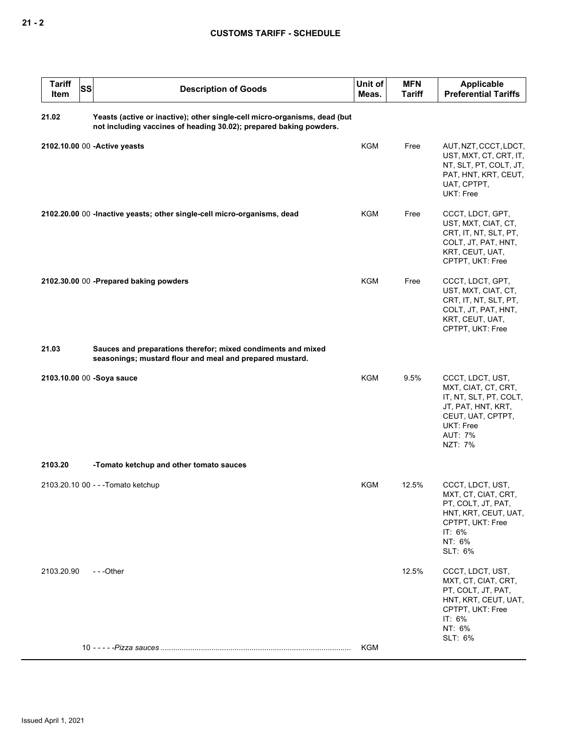| <b>Tariff</b><br>Item | <b>SS</b><br><b>Description of Goods</b>                                                                                                        | Unit of<br>Meas. | <b>MFN</b><br><b>Tariff</b> | Applicable<br><b>Preferential Tariffs</b>                                                                                                              |
|-----------------------|-------------------------------------------------------------------------------------------------------------------------------------------------|------------------|-----------------------------|--------------------------------------------------------------------------------------------------------------------------------------------------------|
| 21.02                 | Yeasts (active or inactive); other single-cell micro-organisms, dead (but<br>not including vaccines of heading 30.02); prepared baking powders. |                  |                             |                                                                                                                                                        |
|                       | 2102.10.00 00 - Active yeasts                                                                                                                   | <b>KGM</b>       | Free                        | AUT, NZT, CCCT, LDCT,<br>UST, MXT, CT, CRT, IT,<br>NT, SLT, PT, COLT, JT,<br>PAT, HNT, KRT, CEUT,<br>UAT, CPTPT,<br>UKT: Free                          |
|                       | 2102.20.00 00 - Inactive yeasts; other single-cell micro-organisms, dead                                                                        | KGM              | Free                        | CCCT, LDCT, GPT,<br>UST, MXT, CIAT, CT,<br>CRT, IT, NT, SLT, PT,<br>COLT, JT, PAT, HNT,<br>KRT, CEUT, UAT,<br>CPTPT, UKT: Free                         |
|                       | 2102.30.00 00 -Prepared baking powders                                                                                                          | <b>KGM</b>       | Free                        | CCCT, LDCT, GPT,<br>UST, MXT, CIAT, CT,<br>CRT, IT, NT, SLT, PT,<br>COLT, JT, PAT, HNT,<br>KRT, CEUT, UAT,<br>CPTPT, UKT: Free                         |
| 21.03                 | Sauces and preparations therefor; mixed condiments and mixed<br>seasonings; mustard flour and meal and prepared mustard.                        |                  |                             |                                                                                                                                                        |
|                       | 2103.10.00 00 -Soya sauce                                                                                                                       | KGM              | 9.5%                        | CCCT, LDCT, UST,<br>MXT, CIAT, CT, CRT,<br>IT, NT, SLT, PT, COLT,<br>JT, PAT, HNT, KRT,<br>CEUT, UAT, CPTPT,<br>UKT: Free<br><b>AUT: 7%</b><br>NZT: 7% |
| 2103.20               | -Tomato ketchup and other tomato sauces                                                                                                         |                  |                             |                                                                                                                                                        |
|                       | 2103.20.10 00 - - - Tomato ketchup                                                                                                              | KGM              | 12.5%                       | CCCT, LDCT, UST,<br>MXT, CT, CIAT, CRT,<br>PT, COLT, JT, PAT,<br>HNT, KRT, CEUT, UAT,<br>CPTPT, UKT: Free<br>IT: 6%<br>NT: 6%<br>SLT: 6%               |
| 2103.20.90            | ---Other                                                                                                                                        |                  | 12.5%                       | CCCT, LDCT, UST,<br>MXT, CT, CIAT, CRT,<br>PT, COLT, JT, PAT,<br>HNT, KRT, CEUT, UAT,<br>CPTPT, UKT: Free<br>IT: 6%<br>NT: 6%<br>SLT: 6%               |
|                       |                                                                                                                                                 | <b>KGM</b>       |                             |                                                                                                                                                        |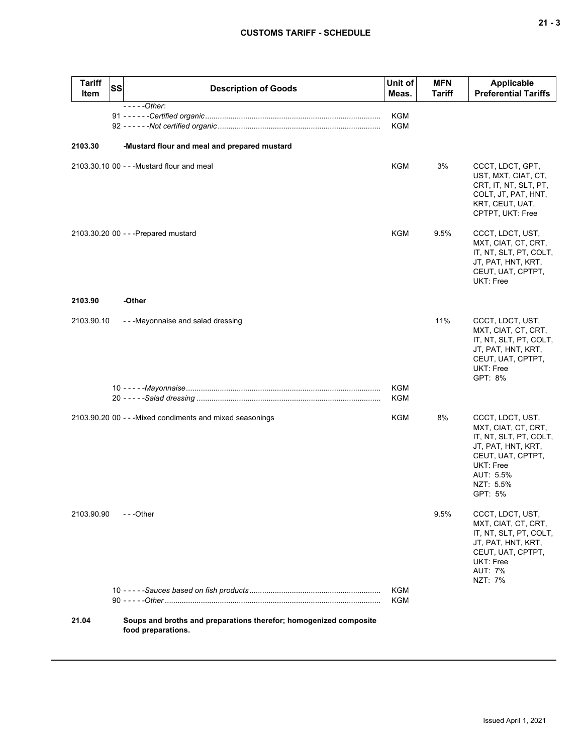| Tariff<br>Item | <b>SS</b> | <b>Description of Goods</b>                                                             | Unit of<br>Meas.         | <b>MFN</b><br><b>Tariff</b> | <b>Applicable</b><br><b>Preferential Tariffs</b>                                                                                                                      |
|----------------|-----------|-----------------------------------------------------------------------------------------|--------------------------|-----------------------------|-----------------------------------------------------------------------------------------------------------------------------------------------------------------------|
|                |           | $---Other:$                                                                             | <b>KGM</b><br><b>KGM</b> |                             |                                                                                                                                                                       |
| 2103.30        |           | -Mustard flour and meal and prepared mustard                                            |                          |                             |                                                                                                                                                                       |
|                |           | 2103.30.10 00 - - - Mustard flour and meal                                              | <b>KGM</b>               | 3%                          | CCCT, LDCT, GPT,<br>UST, MXT, CIAT, CT,<br>CRT, IT, NT, SLT, PT,<br>COLT, JT, PAT, HNT,<br>KRT, CEUT, UAT,<br>CPTPT, UKT: Free                                        |
|                |           | 2103.30.20 00 - - - Prepared mustard                                                    | KGM                      | 9.5%                        | CCCT, LDCT, UST,<br>MXT, CIAT, CT, CRT,<br>IT, NT, SLT, PT, COLT,<br>JT, PAT, HNT, KRT,<br>CEUT, UAT, CPTPT,<br><b>UKT: Free</b>                                      |
| 2103.90        |           | -Other                                                                                  |                          |                             |                                                                                                                                                                       |
| 2103.90.10     |           | --Mayonnaise and salad dressing                                                         |                          | 11%                         | CCCT, LDCT, UST,<br>MXT, CIAT, CT, CRT,<br>IT, NT, SLT, PT, COLT,<br>JT, PAT, HNT, KRT,<br>CEUT, UAT, CPTPT,<br><b>UKT: Free</b><br>GPT: 8%                           |
|                |           |                                                                                         | KGM<br>KGM               |                             |                                                                                                                                                                       |
|                |           | 2103.90.20 00 - - - Mixed condiments and mixed seasonings                               | KGM                      | 8%                          | CCCT, LDCT, UST,<br>MXT, CIAT, CT, CRT,<br>IT, NT, SLT, PT, COLT,<br>JT, PAT, HNT, KRT,<br>CEUT, UAT, CPTPT,<br><b>UKT: Free</b><br>AUT: 5.5%<br>NZT: 5.5%<br>GPT: 5% |
| 2103.90.90     |           | $- -$ Other                                                                             |                          | 9.5%                        | CCCT, LDCT, UST,<br>MXT, CIAT, CT, CRT,<br>IT, NT, SLT, PT, COLT,<br>JT, PAT, HNT, KRT,<br>CEUT, UAT, CPTPT,<br>UKT: Free<br><b>AUT: 7%</b><br>NZT: 7%                |
|                |           |                                                                                         | KGM<br>KGM               |                             |                                                                                                                                                                       |
| 21.04          |           | Soups and broths and preparations therefor; homogenized composite<br>food preparations. |                          |                             |                                                                                                                                                                       |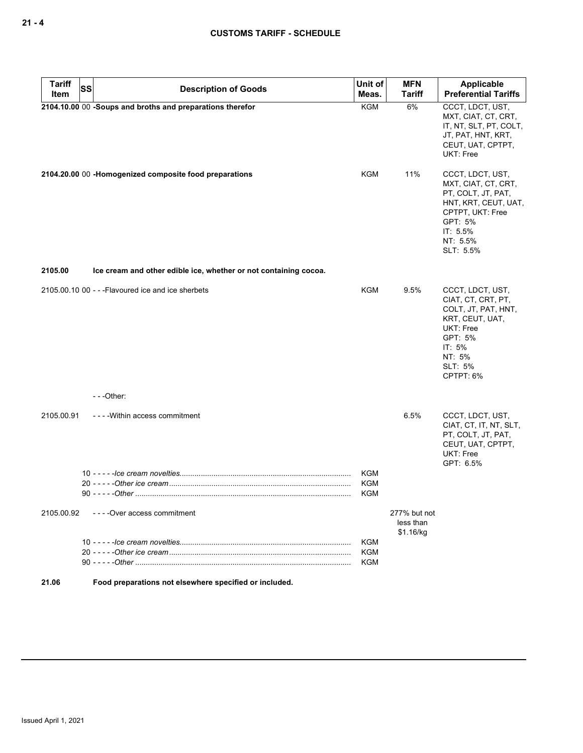| <b>Tariff</b><br>Item | SS | <b>Description of Goods</b>                                      | Unit of<br>Meas.                | <b>MFN</b><br><b>Tariff</b>            | Applicable<br><b>Preferential Tariffs</b>                                                                                                                   |
|-----------------------|----|------------------------------------------------------------------|---------------------------------|----------------------------------------|-------------------------------------------------------------------------------------------------------------------------------------------------------------|
|                       |    | 2104.10.00 00 -Soups and broths and preparations therefor        | <b>KGM</b>                      | 6%                                     | CCCT, LDCT, UST,<br>MXT, CIAT, CT, CRT,<br>IT, NT, SLT, PT, COLT,<br>JT, PAT, HNT, KRT,<br>CEUT, UAT, CPTPT,<br>UKT: Free                                   |
|                       |    | 2104.20.00 00 -Homogenized composite food preparations           | <b>KGM</b>                      | 11%                                    | CCCT, LDCT, UST,<br>MXT, CIAT, CT, CRT,<br>PT, COLT, JT, PAT,<br>HNT, KRT, CEUT, UAT,<br>CPTPT, UKT: Free<br>GPT: 5%<br>IT: 5.5%<br>NT: 5.5%<br>SLT: 5.5%   |
| 2105.00               |    | Ice cream and other edible ice, whether or not containing cocoa. |                                 |                                        |                                                                                                                                                             |
|                       |    | 2105,00,10 00 - - - Flavoured ice and ice sherbets               | <b>KGM</b>                      | 9.5%                                   | CCCT, LDCT, UST,<br>CIAT, CT, CRT, PT,<br>COLT, JT, PAT, HNT,<br>KRT, CEUT, UAT,<br>UKT: Free<br>GPT: 5%<br>IT: 5%<br>NT: 5%<br><b>SLT: 5%</b><br>CPTPT: 6% |
|                       |    | $- -$ Other:                                                     |                                 |                                        |                                                                                                                                                             |
| 2105.00.91            |    | - - - - Within access commitment                                 |                                 | 6.5%                                   | CCCT, LDCT, UST,<br>CIAT, CT, IT, NT, SLT,<br>PT, COLT, JT, PAT,<br>CEUT, UAT, CPTPT,<br><b>UKT: Free</b><br>GPT: 6.5%                                      |
|                       |    |                                                                  | <b>KGM</b><br>KGM<br><b>KGM</b> |                                        |                                                                                                                                                             |
| 2105.00.92            |    | ----Over access commitment                                       |                                 | 277% but not<br>less than<br>\$1.16/kg |                                                                                                                                                             |
|                       |    |                                                                  | KGM<br><b>KGM</b><br><b>KGM</b> |                                        |                                                                                                                                                             |

**21.06 Food preparations not elsewhere specified or included.**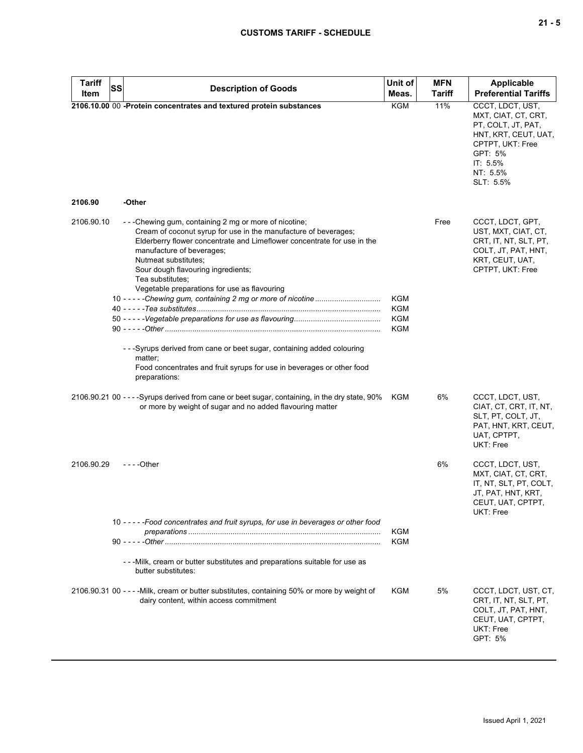# **CUSTOMS TARIFF - SCHEDULE**

| <b>Tariff</b><br><b>SS</b> |                                                                                                                                                                                                                                                                                                                                                                                                                                                                                                                                                    | Unit of                  | <b>MFN</b>    | <b>Applicable</b>                                                                                                                                         |
|----------------------------|----------------------------------------------------------------------------------------------------------------------------------------------------------------------------------------------------------------------------------------------------------------------------------------------------------------------------------------------------------------------------------------------------------------------------------------------------------------------------------------------------------------------------------------------------|--------------------------|---------------|-----------------------------------------------------------------------------------------------------------------------------------------------------------|
| Item                       | <b>Description of Goods</b>                                                                                                                                                                                                                                                                                                                                                                                                                                                                                                                        | Meas.                    | <b>Tariff</b> | <b>Preferential Tariffs</b>                                                                                                                               |
| 2106.90                    | 2106.10.00 00 -Protein concentrates and textured protein substances<br>-Other                                                                                                                                                                                                                                                                                                                                                                                                                                                                      | <b>KGM</b>               | 11%           | CCCT, LDCT, UST,<br>MXT, CIAT, CT, CRT,<br>PT, COLT, JT, PAT,<br>HNT, KRT, CEUT, UAT,<br>CPTPT, UKT: Free<br>GPT: 5%<br>IT: 5.5%<br>NT: 5.5%<br>SLT: 5.5% |
|                            |                                                                                                                                                                                                                                                                                                                                                                                                                                                                                                                                                    |                          |               |                                                                                                                                                           |
| 2106.90.10                 | ---Chewing gum, containing 2 mg or more of nicotine;<br>Cream of coconut syrup for use in the manufacture of beverages;<br>Elderberry flower concentrate and Limeflower concentrate for use in the<br>manufacture of beverages;<br>Nutmeat substitutes;<br>Sour dough flavouring ingredients;<br>Tea substitutes;<br>Vegetable preparations for use as flavouring<br>- - - Syrups derived from cane or beet sugar, containing added colouring<br>matter;<br>Food concentrates and fruit syrups for use in beverages or other food<br>preparations: | KGM<br>KGM<br>KGM<br>KGM | Free          | CCCT, LDCT, GPT,<br>UST, MXT, CIAT, CT,<br>CRT, IT, NT, SLT, PT,<br>COLT, JT, PAT, HNT,<br>KRT, CEUT, UAT,<br>CPTPT, UKT: Free                            |
|                            | 2106.90.21 00 - - - -Syrups derived from cane or beet sugar, containing, in the dry state, 90%                                                                                                                                                                                                                                                                                                                                                                                                                                                     | KGM                      | 6%            | CCCT, LDCT, UST,                                                                                                                                          |
|                            | or more by weight of sugar and no added flavouring matter                                                                                                                                                                                                                                                                                                                                                                                                                                                                                          |                          |               | CIAT, CT, CRT, IT, NT,<br>SLT, PT, COLT, JT,<br>PAT, HNT, KRT, CEUT,<br>UAT, CPTPT,<br>UKT: Free                                                          |
| 2106.90.29                 | $- - -$ Other                                                                                                                                                                                                                                                                                                                                                                                                                                                                                                                                      |                          | 6%            | CCCT, LDCT, UST,<br>MXT, CIAT, CT, CRT,<br>IT, NT, SLT, PT, COLT,<br>JT, PAT, HNT, KRT,<br>CEUT, UAT, CPTPT,<br>UKT: Free                                 |
|                            | 10 - - - - - Food concentrates and fruit syrups, for use in beverages or other food                                                                                                                                                                                                                                                                                                                                                                                                                                                                | <b>KGM</b>               |               |                                                                                                                                                           |
|                            |                                                                                                                                                                                                                                                                                                                                                                                                                                                                                                                                                    | KGM                      |               |                                                                                                                                                           |
|                            | - - - Milk, cream or butter substitutes and preparations suitable for use as<br>butter substitutes:                                                                                                                                                                                                                                                                                                                                                                                                                                                |                          |               |                                                                                                                                                           |
|                            | 2106.90.31 00 - - - - Milk, cream or butter substitutes, containing 50% or more by weight of<br>dairy content, within access commitment                                                                                                                                                                                                                                                                                                                                                                                                            | KGM                      | 5%            | CCCT, LDCT, UST, CT,<br>CRT, IT, NT, SLT, PT,<br>COLT, JT, PAT, HNT,<br>CEUT, UAT, CPTPT,<br>UKT: Free<br>GPT: 5%                                         |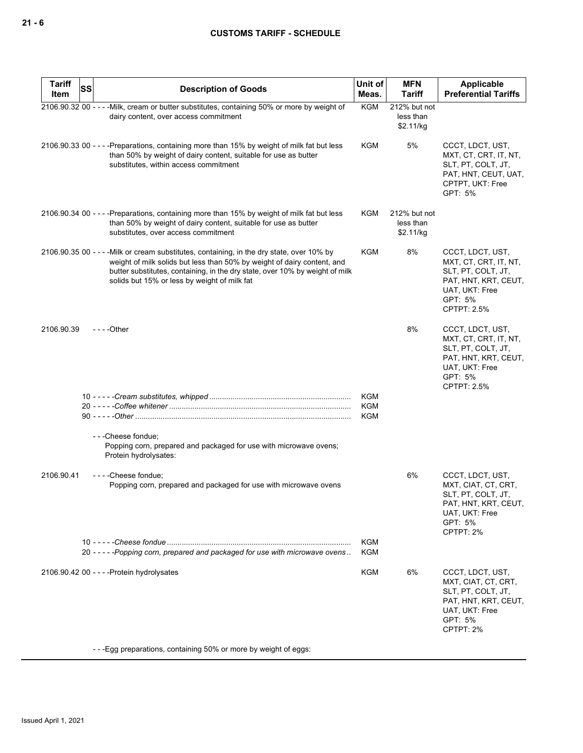| <b>Tariff</b><br>SS<br>Item | <b>Description of Goods</b>                                                                                                                                                                                                                                                                           | Unit of<br>Meas. | <b>MFN</b><br><b>Tariff</b>            | Applicable<br><b>Preferential Tariffs</b>                                                                                                  |
|-----------------------------|-------------------------------------------------------------------------------------------------------------------------------------------------------------------------------------------------------------------------------------------------------------------------------------------------------|------------------|----------------------------------------|--------------------------------------------------------------------------------------------------------------------------------------------|
|                             | 2106.90.32 00 - - - - Milk, cream or butter substitutes, containing 50% or more by weight of<br>dairy content, over access commitment                                                                                                                                                                 | <b>KGM</b>       | 212% but not<br>less than<br>\$2.11/kg |                                                                                                                                            |
|                             | 2106.90.33 00 - - - - Preparations, containing more than 15% by weight of milk fat but less<br>than 50% by weight of dairy content, suitable for use as butter<br>substitutes, within access commitment                                                                                               | KGM              | 5%                                     | CCCT, LDCT, UST,<br>MXT, CT, CRT, IT, NT,<br>SLT, PT, COLT, JT,<br>PAT, HNT, CEUT, UAT,<br>CPTPT, UKT: Free<br>GPT: 5%                     |
|                             | 2106.90.34 00 - - - - Preparations, containing more than 15% by weight of milk fat but less<br>than 50% by weight of dairy content, suitable for use as butter<br>substitutes, over access commitment                                                                                                 | KGM              | 212% but not<br>less than<br>\$2.11/kg |                                                                                                                                            |
|                             | 2106.90.35 00 - - - - Milk or cream substitutes, containing, in the dry state, over 10% by<br>weight of milk solids but less than 50% by weight of dairy content, and<br>butter substitutes, containing, in the dry state, over 10% by weight of milk<br>solids but 15% or less by weight of milk fat | KGM              | 8%                                     | CCCT, LDCT, UST,<br>MXT, CT, CRT, IT, NT,<br>SLT, PT, COLT, JT,<br>PAT, HNT, KRT, CEUT,<br>UAT, UKT: Free<br>GPT: 5%<br><b>CPTPT: 2.5%</b> |
| 2106.90.39                  | $--$ Other                                                                                                                                                                                                                                                                                            |                  | 8%                                     | CCCT, LDCT, UST,<br>MXT, CT, CRT, IT, NT,<br>SLT, PT, COLT, JT,<br>PAT, HNT, KRT, CEUT,<br>UAT, UKT: Free<br>GPT: 5%<br><b>CPTPT: 2.5%</b> |
|                             |                                                                                                                                                                                                                                                                                                       | KGM              |                                        |                                                                                                                                            |
|                             |                                                                                                                                                                                                                                                                                                       | <b>KGM</b>       |                                        |                                                                                                                                            |
|                             |                                                                                                                                                                                                                                                                                                       | KGM              |                                        |                                                                                                                                            |
|                             | ---Cheese fondue;<br>Popping corn, prepared and packaged for use with microwave ovens;<br>Protein hydrolysates:                                                                                                                                                                                       |                  |                                        |                                                                                                                                            |
| 2106.90.41                  | ----Cheese fondue;<br>Popping corn, prepared and packaged for use with microwave ovens                                                                                                                                                                                                                |                  | 6%                                     | CCCT, LDCT, UST,<br>MXT, CIAT, CT, CRT,<br>SLT, PT, COLT, JT,<br>PAT, HNT, KRT, CEUT,<br>UAT, UKT: Free<br>GPT: 5%<br>CPTPT: 2%            |
|                             | 20 - - - - - Popping corn, prepared and packaged for use with microwave ovens                                                                                                                                                                                                                         | KGM<br>KGM       |                                        |                                                                                                                                            |
|                             | 2106.90.42 00 - - - - Protein hydrolysates                                                                                                                                                                                                                                                            | KGM              | 6%                                     | CCCT, LDCT, UST,<br>MXT, CIAT, CT, CRT,<br>SLT, PT, COLT, JT,<br>PAT, HNT, KRT, CEUT,<br>UAT, UKT: Free<br>GPT: 5%<br>CPTPT: 2%            |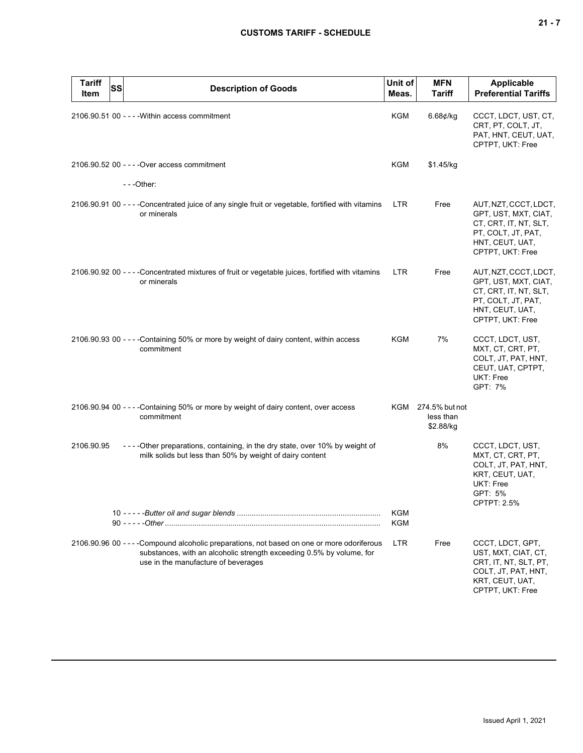| <b>Tariff</b><br>Item | SS | <b>Description of Goods</b>                                                                                                                                                                                | Unit of<br>Meas. | <b>MFN</b><br><b>Tariff</b>                  | <b>Applicable</b><br><b>Preferential Tariffs</b>                                                                                    |
|-----------------------|----|------------------------------------------------------------------------------------------------------------------------------------------------------------------------------------------------------------|------------------|----------------------------------------------|-------------------------------------------------------------------------------------------------------------------------------------|
|                       |    | 2106.90.51 00 - - - - Within access commitment                                                                                                                                                             | KGM              | $6.68$ ¢/kg                                  | CCCT, LDCT, UST, CT,<br>CRT, PT, COLT, JT,<br>PAT, HNT, CEUT, UAT,<br>CPTPT, UKT: Free                                              |
|                       |    | 2106.90.52 00 - - - - Over access commitment                                                                                                                                                               | KGM              | \$1.45/kg                                    |                                                                                                                                     |
|                       |    | $- -$ Other:                                                                                                                                                                                               |                  |                                              |                                                                                                                                     |
|                       |    | 2106.90.91 00 - - - - Concentrated juice of any single fruit or vegetable, fortified with vitamins<br>or minerals                                                                                          | LTR.             | Free                                         | AUT, NZT, CCCT, LDCT,<br>GPT, UST, MXT, CIAT,<br>CT, CRT, IT, NT, SLT,<br>PT, COLT, JT, PAT,<br>HNT, CEUT, UAT,<br>CPTPT, UKT: Free |
|                       |    | 2106.90.92 00 - - - - Concentrated mixtures of fruit or vegetable juices, fortified with vitamins<br>or minerals                                                                                           | <b>LTR</b>       | Free                                         | AUT, NZT, CCCT, LDCT,<br>GPT, UST, MXT, CIAT,<br>CT, CRT, IT, NT, SLT,<br>PT, COLT, JT, PAT,<br>HNT, CEUT, UAT,<br>CPTPT, UKT: Free |
|                       |    | 2106.90.93 00 - - - - Containing 50% or more by weight of dairy content, within access<br>commitment                                                                                                       | KGM              | 7%                                           | CCCT, LDCT, UST,<br>MXT, CT, CRT, PT,<br>COLT, JT, PAT, HNT,<br>CEUT, UAT, CPTPT,<br>UKT: Free<br>GPT: 7%                           |
|                       |    | 2106.90.94 00 - - - - Containing 50% or more by weight of dairy content, over access<br>commitment                                                                                                         |                  | KGM 274.5% but not<br>less than<br>\$2.88/kg |                                                                                                                                     |
| 2106.90.95            |    | - - - - Other preparations, containing, in the dry state, over 10% by weight of<br>milk solids but less than 50% by weight of dairy content                                                                |                  | 8%                                           | CCCT, LDCT, UST,<br>MXT, CT, CRT, PT,<br>COLT, JT, PAT, HNT,<br>KRT, CEUT, UAT,<br>UKT: Free<br>GPT: 5%<br><b>CPTPT: 2.5%</b>       |
|                       |    |                                                                                                                                                                                                            | KGM<br>KGM       |                                              |                                                                                                                                     |
|                       |    | 2106.90.96 00 - - - - Compound alcoholic preparations, not based on one or more odoriferous<br>substances, with an alcoholic strength exceeding 0.5% by volume, for<br>use in the manufacture of beverages | <b>LTR</b>       | Free                                         | CCCT, LDCT, GPT,<br>UST, MXT, CIAT, CT,<br>CRT, IT, NT, SLT, PT,<br>COLT, JT, PAT, HNT,<br>KRT, CEUT, UAT,<br>CPTPT, UKT: Free      |